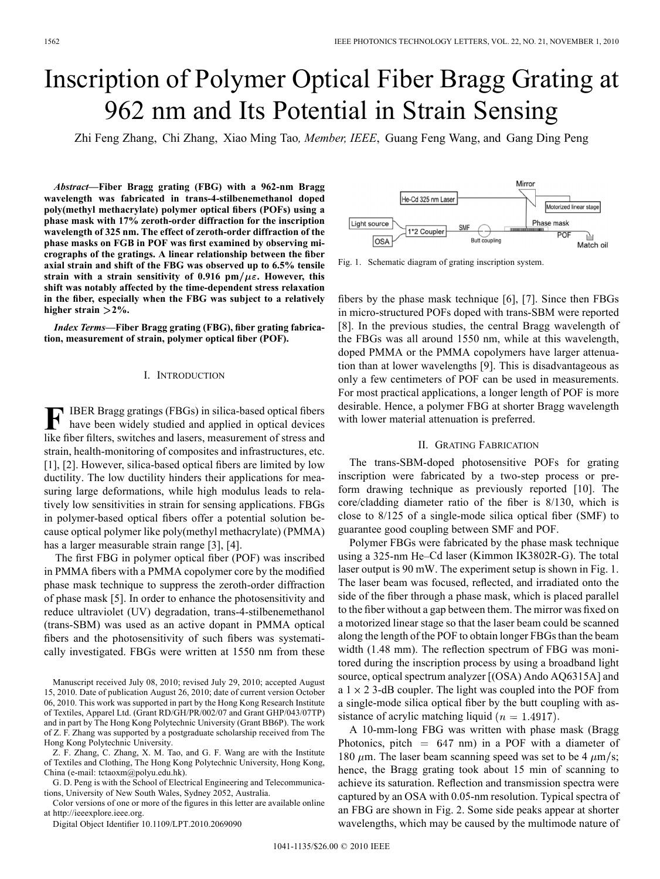# Inscription of Polymer Optical Fiber Bragg Grating at 962 nm and Its Potential in Strain Sensing

Zhi Feng Zhang, Chi Zhang, Xiao Ming Tao*, Member, IEEE*, Guang Feng Wang, and Gang Ding Peng

*Abstract—***Fiber Bragg grating (FBG) with a 962-nm Bragg wavelength was fabricated in trans-4-stilbenemethanol doped poly(methyl methacrylate) polymer optical fibers (POFs) using a phase mask with 17% zeroth-order diffraction for the inscription wavelength of 325 nm. The effect of zeroth-order diffraction of the phase masks on FGB in POF was first examined by observing micrographs of the gratings. A linear relationship between the fiber axial strain and shift of the FBG was observed up to 6.5% tensile** strain with a strain sensitivity of  $0.916$  pm/ $\mu \varepsilon$ . However, this **shift was notably affected by the time-dependent stress relaxation in the fiber, especially when the FBG was subject to a relatively higher strain 2%.**

*Index Terms—***Fiber Bragg grating (FBG), fiber grating fabrication, measurement of strain, polymer optical fiber (POF).**

## I. INTRODUCTION

**F** IBER Bragg gratings (FBGs) in silica-based optical fibers have been widely studied and applied in optical devices like fiber filters, switches and lasers, measurement of stress and strain, health-monitoring of composites and infrastructures, etc. [1], [2]. However, silica-based optical fibers are limited by low ductility. The low ductility hinders their applications for measuring large deformations, while high modulus leads to relatively low sensitivities in strain for sensing applications. FBGs in polymer-based optical fibers offer a potential solution because optical polymer like poly(methyl methacrylate) (PMMA) has a larger measurable strain range [3], [4].

The first FBG in polymer optical fiber (POF) was inscribed in PMMA fibers with a PMMA copolymer core by the modified phase mask technique to suppress the zeroth-order diffraction of phase mask [5]. In order to enhance the photosensitivity and reduce ultraviolet (UV) degradation, trans-4-stilbenemethanol (trans-SBM) was used as an active dopant in PMMA optical fibers and the photosensitivity of such fibers was systematically investigated. FBGs were written at 1550 nm from these

Manuscript received July 08, 2010; revised July 29, 2010; accepted August 15, 2010. Date of publication August 26, 2010; date of current version October 06, 2010. This work was supported in part by the Hong Kong Research Institute of Textiles, Apparel Ltd. (Grant RD/GH/PR/002/07 and Grant GHP/043/07TP) and in part by The Hong Kong Polytechnic University (Grant BB6P). The work of Z. F. Zhang was supported by a postgraduate scholarship received from The Hong Kong Polytechnic University.

Z. F. Zhang, C. Zhang, X. M. Tao, and G. F. Wang are with the Institute of Textiles and Clothing, The Hong Kong Polytechnic University, Hong Kong, China (e-mail: tctaoxm@polyu.edu.hk).

G. D. Peng is with the School of Electrical Engineering and Telecommunications, University of New South Wales, Sydney 2052, Australia.

Color versions of one or more of the figures in this letter are available online at http://ieeexplore.ieee.org.

Digital Object Identifier 10.1109/LPT.2010.2069090



Fig. 1. Schematic diagram of grating inscription system.

fibers by the phase mask technique [6], [7]. Since then FBGs in micro-structured POFs doped with trans-SBM were reported [8]. In the previous studies, the central Bragg wavelength of the FBGs was all around 1550 nm, while at this wavelength, doped PMMA or the PMMA copolymers have larger attenuation than at lower wavelengths [9]. This is disadvantageous as only a few centimeters of POF can be used in measurements. For most practical applications, a longer length of POF is more desirable. Hence, a polymer FBG at shorter Bragg wavelength with lower material attenuation is preferred.

## II. GRATING FABRICATION

The trans-SBM-doped photosensitive POFs for grating inscription were fabricated by a two-step process or preform drawing technique as previously reported [10]. The core/cladding diameter ratio of the fiber is 8/130, which is close to 8/125 of a single-mode silica optical fiber (SMF) to guarantee good coupling between SMF and POF.

Polymer FBGs were fabricated by the phase mask technique using a 325-nm He–Cd laser (Kimmon IK3802R-G). The total laser output is 90 mW. The experiment setup is shown in Fig. 1. The laser beam was focused, reflected, and irradiated onto the side of the fiber through a phase mask, which is placed parallel to the fiber without a gap between them. The mirror was fixed on a motorized linear stage so that the laser beam could be scanned along the length of the POF to obtain longer FBGs than the beam width (1.48 mm). The reflection spectrum of FBG was monitored during the inscription process by using a broadband light source, optical spectrum analyzer [(OSA) Ando AQ6315A] and a  $1 \times 2$  3-dB coupler. The light was coupled into the POF from a single-mode silica optical fiber by the butt coupling with assistance of acrylic matching liquid  $(n = 1.4917)$ .

A 10-mm-long FBG was written with phase mask (Bragg Photonics, pitch  $= 647$  nm) in a POF with a diameter of 180  $\mu$ m. The laser beam scanning speed was set to be 4  $\mu$ m/s; hence, the Bragg grating took about 15 min of scanning to achieve its saturation. Reflection and transmission spectra were captured by an OSA with 0.05-nm resolution. Typical spectra of an FBG are shown in Fig. 2. Some side peaks appear at shorter wavelengths, which may be caused by the multimode nature of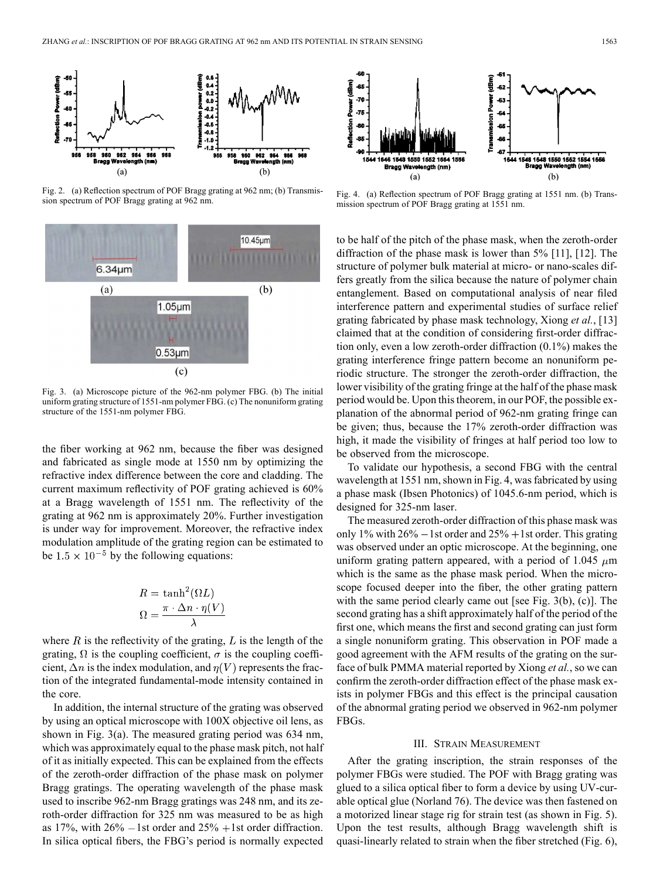

Fig. 2. (a) Reflection spectrum of POF Bragg grating at 962 nm; (b) Transmission spectrum of POF Bragg grating at 962 nm.



Fig. 3. (a) Microscope picture of the 962-nm polymer FBG. (b) The initial uniform grating structure of 1551-nm polymer FBG. (c) The nonuniform grating structure of the 1551-nm polymer FBG.

the fiber working at 962 nm, because the fiber was designed and fabricated as single mode at 1550 nm by optimizing the refractive index difference between the core and cladding. The current maximum reflectivity of POF grating achieved is 60% at a Bragg wavelength of 1551 nm. The reflectivity of the grating at 962 nm is approximately 20%. Further investigation is under way for improvement. Moreover, the refractive index modulation amplitude of the grating region can be estimated to be  $1.5 \times 10^{-5}$  by the following equations:

$$
R = \tanh^2(\Omega L)
$$

$$
\Omega = \frac{\pi \cdot \Delta n \cdot \eta(V)}{\lambda}
$$

where  $R$  is the reflectivity of the grating,  $L$  is the length of the grating,  $\Omega$  is the coupling coefficient,  $\sigma$  is the coupling coefficient,  $\Delta n$  is the index modulation, and  $\eta(V)$  represents the fraction of the integrated fundamental-mode intensity contained in the core.

In addition, the internal structure of the grating was observed by using an optical microscope with 100X objective oil lens, as shown in Fig. 3(a). The measured grating period was 634 nm, which was approximately equal to the phase mask pitch, not half of it as initially expected. This can be explained from the effects of the zeroth-order diffraction of the phase mask on polymer Bragg gratings. The operating wavelength of the phase mask used to inscribe 962-nm Bragg gratings was 248 nm, and its zeroth-order diffraction for 325 nm was measured to be as high as 17%, with  $26\% - 1$  st order and  $25\% + 1$  st order diffraction. In silica optical fibers, the FBG's period is normally expected



Fig. 4. (a) Reflection spectrum of POF Bragg grating at 1551 nm. (b) Transmission spectrum of POF Bragg grating at 1551 nm.

to be half of the pitch of the phase mask, when the zeroth-order diffraction of the phase mask is lower than 5% [11], [12]. The structure of polymer bulk material at micro- or nano-scales differs greatly from the silica because the nature of polymer chain entanglement. Based on computational analysis of near filed interference pattern and experimental studies of surface relief grating fabricated by phase mask technology, Xiong *et al.*, [13] claimed that at the condition of considering first-order diffraction only, even a low zeroth-order diffraction (0.1%) makes the grating interference fringe pattern become an nonuniform periodic structure. The stronger the zeroth-order diffraction, the lower visibility of the grating fringe at the half of the phase mask period would be. Upon this theorem, in our POF, the possible explanation of the abnormal period of 962-nm grating fringe can be given; thus, because the 17% zeroth-order diffraction was high, it made the visibility of fringes at half period too low to be observed from the microscope.

To validate our hypothesis, a second FBG with the central wavelength at 1551 nm, shown in Fig. 4, was fabricated by using a phase mask (Ibsen Photonics) of 1045.6-nm period, which is designed for 325-nm laser.

The measured zeroth-order diffraction of this phase mask was only 1% with  $26\% - 1$  st order and  $25\% + 1$  st order. This grating was observed under an optic microscope. At the beginning, one uniform grating pattern appeared, with a period of 1.045  $\mu$ m which is the same as the phase mask period. When the microscope focused deeper into the fiber, the other grating pattern with the same period clearly came out [see Fig. 3(b), (c)]. The second grating has a shift approximately half of the period of the first one, which means the first and second grating can just form a single nonuniform grating. This observation in POF made a good agreement with the AFM results of the grating on the surface of bulk PMMA material reported by Xiong *et al.*, so we can confirm the zeroth-order diffraction effect of the phase mask exists in polymer FBGs and this effect is the principal causation of the abnormal grating period we observed in 962-nm polymer FBGs.

#### III. STRAIN MEASUREMENT

After the grating inscription, the strain responses of the polymer FBGs were studied. The POF with Bragg grating was glued to a silica optical fiber to form a device by using UV-curable optical glue (Norland 76). The device was then fastened on a motorized linear stage rig for strain test (as shown in Fig. 5). Upon the test results, although Bragg wavelength shift is quasi-linearly related to strain when the fiber stretched (Fig. 6),